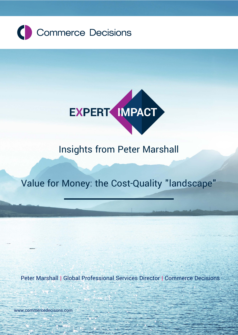



 **Expert Impact | Insights from Peter Marshall**

# Insights from Peter Marshall

# Value for Money: the Cost-Quality "landscape"

Peter Marshall | Global Professional Services Director | Commerce Decisions

[www.commercedecisions.com](http://www.commercedecisions.com/) [www.commercedecisons.com](https://commercedecisions.sharepoint.com/sales/marketing/docs/Collateral/White%20Papers/Editable%20versions/www.commercedecisons.com)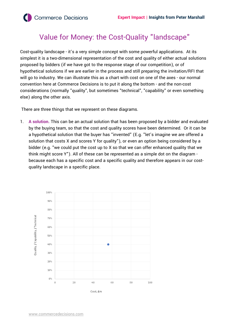## Value for Money: the Cost-Quality "landscape"

Cost-quality landscape - it's a very simple concept with some powerful applications. At its simplest it is a two-dimensional representation of the cost and quality of either actual solutions proposed by bidders (if we have got to the response stage of our competition), or of hypothetical solutions if we are earlier in the process and still preparing the invitation/RFI that will go to industry. We can illustrate this as a chart with cost on one of the axes - our normal convention here at Commerce Decisions is to put it along the bottom - and the non-cost considerations (normally "quality", but sometimes "technical", "capability" or even something else) along the other axis.

There are three things that we represent on these diagrams.

1. **A solution.** This can be an actual solution that has been proposed by a bidder and evaluated by the buying team, so that the cost and quality scores have been determined. Or it can be a hypothetical solution that the buyer has "invented" (E.g. "let's imagine we are offered a solution that costs X and scores Y for quality"), or even an option being considered by a bidder (e.g. "we could put the cost up to X so that we can offer enhanced quality that we think might score Y"). All of these can be represented as a simple dot on the diagram because each has a specific cost and a specific quality and therefore appears in our costquality landscape in a specific place.

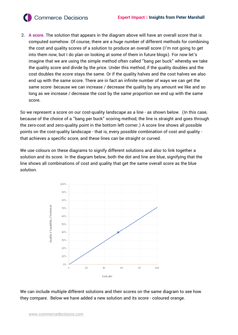**Commerce Decisions** 

2**. A score.** The solution that appears in the diagram above will have an overall score that is computed somehow. Of course, there are a huge number of different methods for combining the cost and quality scores of a solution to produce an overall score (I'm not going to get into them now, but I do plan on looking at some of them in future blogs). For now let's imagine that we are using the simple method often called "bang per buck" whereby we take the quality score and divide by the price. Under this method, if the quality doubles and the cost doubles the score stays the same. Or if the quality halves and the cost halves we also end up with the same score. There are in fact an infinite number of ways we can get the same score- because we can increase / decrease the quality by any amount we like and so long as we increase / decrease the cost by the same proportion we end up with the same score.

So we represent a score on our cost-quality landscape as a line - as shown below. (In this case, because of the choice of a "bang per buck" scoring method, the line is straight and goes through the zero-cost and zero-quality point in the bottom left corner.) A score line shows all possible points on the cost-quality landscape - that is, every possible combination of cost and quality that achieves a specific score, and these lines can be straight or curved.

We use colours on these diagrams to signify different solutions and also to link together a solution and its score. In the diagram below, both the dot and line are blue, signifying that the line shows all combinations of cost and quality that get the same overall score as the blue solution.



We can include multiple different solutions and their scores on the same diagram to see how they compare. Below we have added a new solution and its score - coloured orange.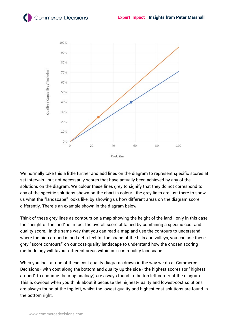

We normally take this a little further and add lines on the diagram to represent specific scores at set intervals - but not necessarily scores that have actually been achieved by any of the solutions on the diagram. We colour these lines grey to signify that they do not correspond to any of the specific solutions shown on the chart in colour - the grey lines are just there to show us what the "landscape" looks like, by showing us how different areas on the diagram score differently. There's an example shown in the diagram below.

Think of these grey lines as contours on a map showing the height of the land - only in this case the "height of the land" is in fact the overall score obtained by combining a specific cost and quality score. In the same way that you can read a map and use the contours to understand where the high ground is and get a feel for the shape of the hills and valleys, you can use these grey "score contours" on our cost-quality landscape to understand how the chosen scoring methodology will favour different areas within our cost-quality landscape.

When you look at one of these cost-quality diagrams drawn in the way we do at Commerce Decisions - with cost along the bottom and quality up the side - the highest scores (or "highest ground" to continue the map analogy) are always found in the top left corner of the diagram. This is obvious when you think about it because the highest-quality and lowest-cost solutions are always found at the top left, whilst the lowest-quality and highest-cost solutions are found in the bottom right.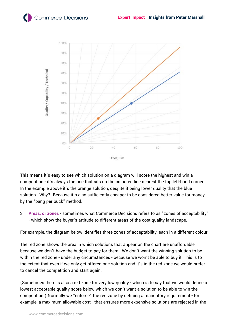### **Commerce Decisions**



This means it's easy to see which solution on a diagram will score the highest and win a competition - it's always the one that sits on the coloured line nearest the top left-hand corner. In the example above it's the orange solution, despite it being lower quality that the blue solution. Why? Because it's also sufficiently cheaper to be considered better value for money by the "bang per buck" method.

3. **Areas, or zones** - sometimes what Commerce Decisions refers to as "zones of acceptability" - which show the buyer's attitude to different areas of the cost-quality landscape.

For example, the diagram below identifies three zones of acceptability, each in a different colour.

The red zone shows the area in which solutions that appear on the chart are unaffordable because we don't have the budget to pay for them. We don't want the winning solution to be within the red zone - under any circumstances - because we won't be able to buy it. This is to the extent that even if we only get offered one solution and it's in the red zone we would prefer to cancel the competition and start again.

(Sometimes there is also a red zone for very low quality - which is to say that we would define a lowest acceptable quality score below which we don't want a solution to be able to win the competition.) Normally we "enforce" the red zone by defining a mandatory requirement - for example, a maximum allowable cost - that ensures more expensive solutions are rejected in the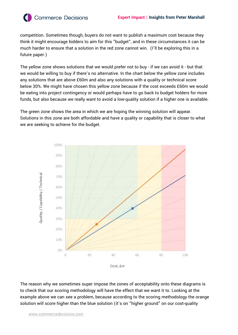

**Commerce Decisions** 

competition. Sometimes though, buyers do not want to publish a maximum cost because they think it might encourage bidders to aim for this "budget", and in these circumstances it can be much harder to ensure that a solution in the red zone cannot win. (I'll be exploring this in a future paper.)

The yellow zone shows solutions that we would prefer not to buy - if we can avoid it - but that we would be willing to buy if there's no alternative. In the chart below the yellow zone includes any solutions that are above £60m and also any solutions with a quality or technical score below 30%. We might have chosen this yellow zone because if the cost exceeds £60m we would be eating into project contingency or would perhaps have to go back to budget holders for more funds, but also because we really want to avoid a low-quality solution if a higher one is available.

The green zone shows the area in which we are hoping the winning solution will appear. Solutions in this zone are both affordable and have a quality or capability that is closer to what we are seeking to achieve for the budget.



The reason why we sometimes super impose the zones of acceptability onto these diagrams is to check that our scoring methodology will have the effect that we want it to. Looking at the example above we can see a problem, because according to the scoring methodology the orange solution will score higher than the blue solution (it's on "higher ground" on our cost-quality